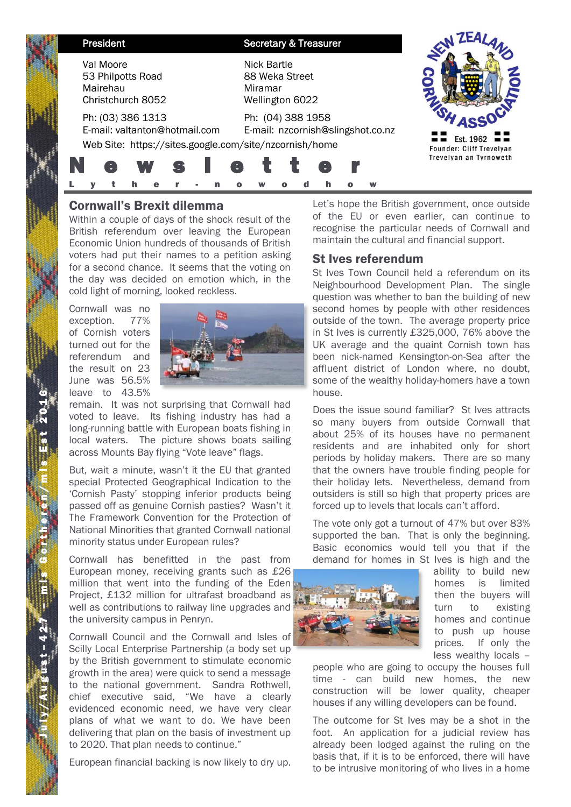| President                                                                                                    | <b>Secretary &amp; Treasurer</b>                            |                                       |
|--------------------------------------------------------------------------------------------------------------|-------------------------------------------------------------|---------------------------------------|
| Val Moore<br>53 Philpotts Road<br>Mairehau<br>Christchurch 8052                                              | Nick Bartle<br>88 Weka Street<br>Miramar<br>Wellington 6022 |                                       |
| Ph: (03) 386 1313<br>E-mail: valtanton@hotmail.com<br>Web Site: https://sites.google.com/site/nzcornish/home | Ph: (04) 388 1958<br>E-mail: nzcornish@slingshot.co.nz      | Est. 1962<br>Founder: Cliff Trevelyan |
|                                                                                                              | e                                                           | Trevelyan an Tyrnoweth                |

# Cornwall's Brexit dilemma

Within a couple of days of the shock result of the British referendum over leaving the European Economic Union hundreds of thousands of British voters had put their names to a petition asking for a second chance. It seems that the voting on the day was decided on emotion which, in the cold light of morning, looked reckless.

Cornwall was no exception. 77% of Cornish voters turned out for the referendum and the result on 23 June was 56.5% leave to 43.5%



remain. It was not surprising that Cornwall had voted to leave. Its fishing industry has had a long-running battle with European boats fishing in local waters. The picture shows boats sailing across Mounts Bay flying "Vote leave" flags.

But, wait a minute, wasn't it the EU that granted special Protected Geographical Indication to the 'Cornish Pasty' stopping inferior products being passed off as genuine Cornish pasties? Wasn't it The Framework Convention for the Protection of National Minorities that granted Cornwall national minority status under European rules?

Cornwall has benefitted in the past from European money, receiving grants such as £26 million that went into the funding of the Eden Project, £132 million for ultrafast broadband as well as contributions to railway line upgrades and the university campus in Penryn.

Cornwall Council and the Cornwall and Isles of Scilly Local Enterprise Partnership (a body set up by the British government to stimulate economic growth in the area) were quick to send a message to the national government. Sandra Rothwell, chief executive said, "We have a clearly evidenced economic need, we have very clear plans of what we want to do. We have been delivering that plan on the basis of investment up to 2020. That plan needs to continue."

European financial backing is now likely to dry up.

Let's hope the British government, once outside of the EU or even earlier, can continue to recognise the particular needs of Cornwall and maintain the cultural and financial support.

## St Ives referendum

St Ives Town Council held a referendum on its Neighbourhood Development Plan. The single question was whether to ban the building of new second homes by people with other residences outside of the town. The average property price in St Ives is currently £325,000, 76% above the UK average and the quaint Cornish town has been nick-named Kensington-on-Sea after the affluent district of London where, no doubt, some of the wealthy holiday-homers have a town house.

Does the issue sound familiar? St Ives attracts so many buyers from outside Cornwall that about 25% of its houses have no permanent residents and are inhabited only for short periods by holiday makers. There are so many that the owners have trouble finding people for their holiday lets. Nevertheless, demand from outsiders is still so high that property prices are forced up to levels that locals can't afford.

The vote only got a turnout of 47% but over 83% supported the ban. That is only the beginning. Basic economics would tell you that if the demand for homes in St Ives is high and the



ability to build new homes is limited then the buyers will turn to existing homes and continue to push up house prices. If only the less wealthy locals –

people who are going to occupy the houses full time - can build new homes, the new construction will be lower quality, cheaper houses if any willing developers can be found.

The outcome for St Ives may be a shot in the foot. An application for a judicial review has already been lodged against the ruling on the basis that, if it is to be enforced, there will have to be intrusive monitoring of who lives in a home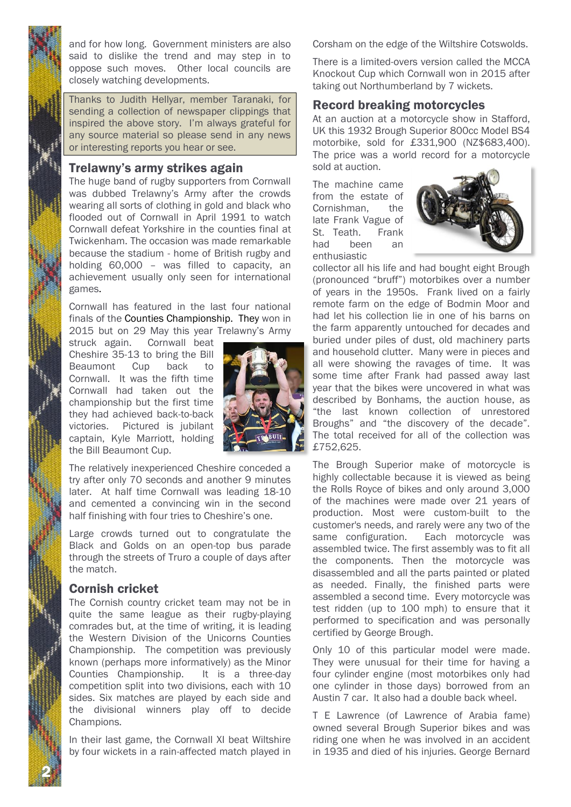and for how long. Government ministers are also said to dislike the trend and may step in to oppose such moves. Other local councils are closely watching developments.

Thanks to Judith Hellyar, member Taranaki, for sending a collection of newspaper clippings that inspired the above story. I'm always grateful for any source material so please send in any news or interesting reports you hear or see.

## Trelawny's army strikes again

The huge band of rugby supporters from Cornwall was dubbed Trelawny's Army after the crowds wearing all sorts of clothing in gold and black who flooded out of Cornwall in April 1991 to watch Cornwall defeat Yorkshire in the counties final at Twickenham. The occasion was made remarkable because the stadium - home of British rugby and holding 60,000 – was filled to capacity, an achievement usually only seen for international games.

Cornwall has featured in the last four national finals of the Counties Championship. They won in 2015 but on 29 May this year Trelawny's Army

struck again. Cornwall beat Cheshire 35-13 to bring the Bill Beaumont Cup back to Cornwall. It was the fifth time Cornwall had taken out the championship but the first time they had achieved back-to-back victories. Pictured is jubilant captain, Kyle Marriott, holding the Bill Beaumont Cup.



The relatively inexperienced Cheshire conceded a try after only 70 seconds and another 9 minutes later. At half time Cornwall was leading 18-10 and cemented a convincing win in the second half finishing with four tries to Cheshire's one.

Large crowds turned out to congratulate the Black and Golds on an open-top bus parade through the streets of Truro a couple of days after the match.

### Cornish cricket

2 N

The Cornish country cricket team may not be in quite the same league as their rugby-playing comrades but, at the time of writing, it is leading the Western Division of the Unicorns Counties Championship. The competition was previously known (perhaps more informatively) as the Minor Counties Championship. It is a three-day competition split into two divisions, each with 10 sides. Six matches are played by each side and the divisional winners play off to decide Champions.

In their last game, the Cornwall XI beat Wiltshire by four wickets in a rain-affected match played in Corsham on the edge of the Wiltshire Cotswolds.

There is a limited-overs version called the MCCA Knockout Cup which Cornwall won in 2015 after taking out Northumberland by 7 wickets.

## Record breaking motorcycles

At an auction at a motorcycle show in Stafford, UK this 1932 Brough Superior 800cc Model BS4 motorbike, sold for £331,900 (NZ\$683,400). The price was a world record for a motorcycle sold at auction.

The machine came from the estate of Cornishman, the late Frank Vague of St. Teath. Frank had been an enthusiastic



collector all his life and had bought eight Brough (pronounced "bruff") motorbikes over a number of years in the 1950s. Frank lived on a fairly remote farm on the edge of Bodmin Moor and had let his collection lie in one of his barns on the farm apparently untouched for decades and buried under piles of dust, old machinery parts and household clutter. Many were in pieces and all were showing the ravages of time. It was some time after Frank had passed away last year that the bikes were uncovered in what was described by Bonhams, the auction house, as "the last known collection of unrestored Broughs" and "the discovery of the decade". The total received for all of the collection was £752,625.

The Brough Superior make of motorcycle is highly collectable because it is viewed as being the Rolls Royce of bikes and only around 3,000 of the machines were made over 21 years of production. Most were custom-built to the customer's needs, and rarely were any two of the same configuration. Each motorcycle was assembled twice. The first assembly was to fit all the components. Then the motorcycle was disassembled and all the parts painted or plated as needed. Finally, the finished parts were assembled a second time. Every motorcycle was test ridden (up to 100 mph) to ensure that it performed to specification and was personally certified by George Brough.

Only 10 of this particular model were made. They were unusual for their time for having a four cylinder engine (most motorbikes only had one cylinder in those days) borrowed from an Austin 7 car. It also had a double back wheel.

T E Lawrence (of Lawrence of Arabia fame) owned several Brough Superior bikes and was riding one when he was involved in an accident in 1935 and died of his injuries. George Bernard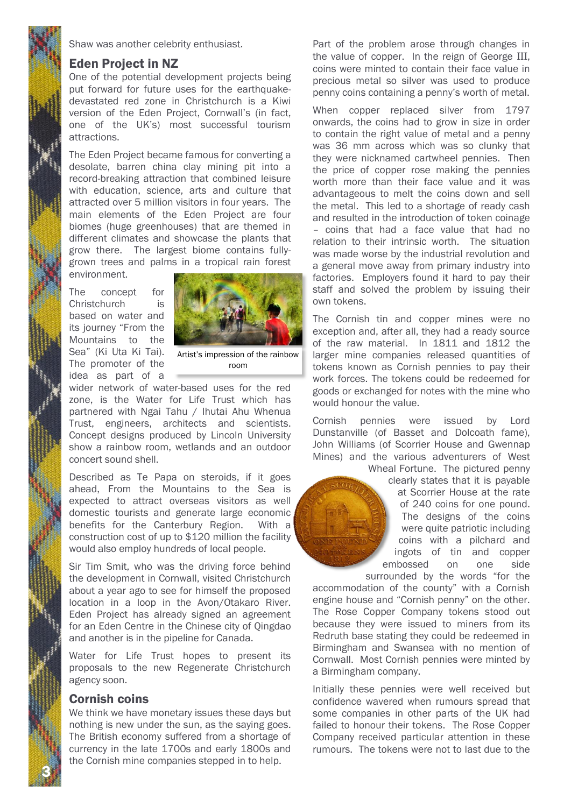Shaw was another celebrity enthusiast.

#### Eden Project in NZ

One of the potential development projects being put forward for future uses for the earthquakedevastated red zone in Christchurch is a Kiwi version of the Eden Project, Cornwall's (in fact, one of the UK's) most successful tourism attractions.

The Eden Project became famous for converting a desolate, barren china clay mining pit into a record-breaking attraction that combined leisure with education, science, arts and culture that attracted over 5 million visitors in four years. The main elements of the Eden Project are four biomes (huge greenhouses) that are themed in different climates and showcase the plants that grow there. The largest biome contains fullygrown trees and palms in a tropical rain forest environment.

The concept for Christchurch is based on water and its journey "From the Mountains to the Sea" (Ki Uta Ki Tai). The promoter of the idea as part of a



Artist's impression of the rainbow room

wider network of water-based uses for the red zone, is the Water for Life Trust which has partnered with Ngai Tahu / Ihutai Ahu Whenua Trust, engineers, architects and scientists. Concept designs produced by Lincoln University show a rainbow room, wetlands and an outdoor concert sound shell.

Described as Te Papa on steroids, if it goes ahead, From the Mountains to the Sea is expected to attract overseas visitors as well domestic tourists and generate large economic benefits for the Canterbury Region. With a construction cost of up to \$120 million the facility would also employ hundreds of local people.

Sir Tim Smit, who was the driving force behind the development in Cornwall, visited Christchurch about a year ago to see for himself the proposed location in a loop in the Avon/Otakaro River. Eden Project has already signed an agreement for an Eden Centre in the Chinese city of Qingdao and another is in the pipeline for Canada.

Water for Life Trust hopes to present its proposals to the new Regenerate Christchurch agency soon.

### Cornish coins

3 N

We think we have monetary issues these days but nothing is new under the sun, as the saying goes. The British economy suffered from a shortage of currency in the late 1700s and early 1800s and the Cornish mine companies stepped in to help.

Part of the problem arose through changes in the value of copper. In the reign of George III, coins were minted to contain their face value in precious metal so silver was used to produce penny coins containing a penny's worth of metal.

When copper replaced silver from 1797 onwards, the coins had to grow in size in order to contain the right value of metal and a penny was 36 mm across which was so clunky that they were nicknamed cartwheel pennies. Then the price of copper rose making the pennies worth more than their face value and it was advantageous to melt the coins down and sell the metal. This led to a shortage of ready cash and resulted in the introduction of token coinage – coins that had a face value that had no relation to their intrinsic worth. The situation was made worse by the industrial revolution and a general move away from primary industry into factories. Employers found it hard to pay their staff and solved the problem by issuing their own tokens.

The Cornish tin and copper mines were no exception and, after all, they had a ready source of the raw material. In 1811 and 1812 the larger mine companies released quantities of tokens known as Cornish pennies to pay their work forces. The tokens could be redeemed for goods or exchanged for notes with the mine who would honour the value.

Cornish pennies were issued by Lord Dunstanville (of Basset and Dolcoath fame), John Williams (of Scorrier House and Gwennap Mines) and the various adventurers of West

Wheal Fortune. The pictured penny clearly states that it is payable at Scorrier House at the rate of 240 coins for one pound. The designs of the coins were quite patriotic including coins with a pilchard and ingots of tin and copper embossed on one side

surrounded by the words "for the accommodation of the county" with a Cornish engine house and "Cornish penny" on the other. The Rose Copper Company tokens stood out because they were issued to miners from its Redruth base stating they could be redeemed in Birmingham and Swansea with no mention of Cornwall. Most Cornish pennies were minted by a Birmingham company.

Initially these pennies were well received but confidence wavered when rumours spread that some companies in other parts of the UK had failed to honour their tokens. The Rose Copper Company received particular attention in these rumours. The tokens were not to last due to the